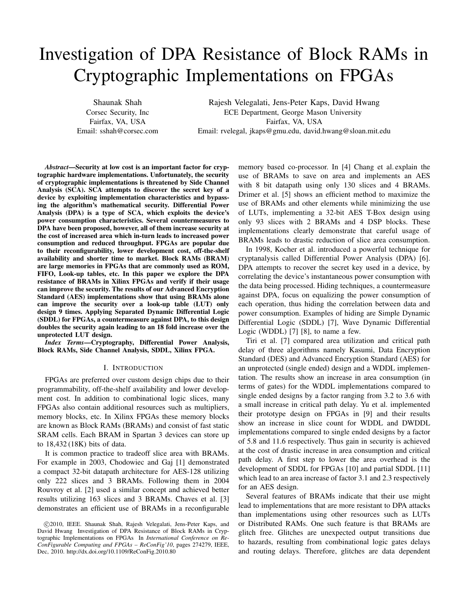# Investigation of DPA Resistance of Block RAMs in Cryptographic Implementations on FPGAs

Shaunak Shah Corsec Security, Inc Fairfax, VA, USA Email: sshah@corsec.com

Rajesh Velegalati, Jens-Peter Kaps, David Hwang ECE Department, George Mason University Fairfax, VA, USA Email: rvelegal, jkaps@gmu.edu, david.hwang@sloan.mit.edu

*Abstract*—Security at low cost is an important factor for cryptographic hardware implementations. Unfortunately, the security of cryptographic implementations is threatened by Side Channel Analysis (SCA). SCA attempts to discover the secret key of a device by exploiting implementation characteristics and bypassing the algorithm's mathematical security. Differential Power Analysis (DPA) is a type of SCA, which exploits the device's power consumption characteristics. Several countermeasures to DPA have been proposed, however, all of them increase security at the cost of increased area which in-turn leads to increased power consumption and reduced throughput. FPGAs are popular due to their reconfigurability, lower development cost, off-the-shelf availability and shorter time to market. Block RAMs (BRAM) are large memories in FPGAs that are commonly used as ROM, FIFO, Look-up tables, etc. In this paper we explore the DPA resistance of BRAMs in Xilinx FPGAs and verify if their usage can improve the security. The results of our Advanced Encryption Standard (AES) implementations show that using BRAMs alone can improve the security over a look-up table (LUT) only design 9 times. Applying Separated Dynamic Differential Logic (SDDL) for FPGAs, a countermeasure against DPA, to this design doubles the security again leading to an 18 fold increase over the unprotected LUT design.

*Index Terms*—Cryptography, Differential Power Analysis, Block RAMs, Side Channel Analysis, SDDL, Xilinx FPGA.

## I. INTRODUCTION

FPGAs are preferred over custom design chips due to their programmability, off-the-shelf availability and lower development cost. In addition to combinational logic slices, many FPGAs also contain additional resources such as multipliers, memory blocks, etc. In Xilinx FPGAs these memory blocks are known as Block RAMs (BRAMs) and consist of fast static SRAM cells. Each BRAM in Spartan 3 devices can store up to 18,432 (18K) bits of data.

It is common practice to tradeoff slice area with BRAMs. For example in 2003, Chodowiec and Gaj [1] demonstrated a compact 32-bit datapath architecture for AES-128 utilizing only 222 slices and 3 BRAMs. Following them in 2004 Rouvroy et al. [2] used a similar concept and achieved better results utilizing 163 slices and 3 BRAMs. Chaves et al. [3] demonstrates an efficient use of BRAMs in a reconfigurable memory based co-processor. In [4] Chang et al. explain the use of BRAMs to save on area and implements an AES with 8 bit datapath using only 130 slices and 4 BRAMs. Drimer et al. [5] shows an efficient method to maximize the use of BRAMs and other elements while minimizing the use of LUTs, implementing a 32-bit AES T-Box design using only 93 slices with 2 BRAMs and 4 DSP blocks. These implementations clearly demonstrate that careful usage of BRAMs leads to drastic reduction of slice area consumption.

In 1998, Kocher et al. introduced a powerful technique for cryptanalysis called Differential Power Analysis (DPA) [6]. DPA attempts to recover the secret key used in a device, by correlating the device's instantaneous power consumption with the data being processed. Hiding techniques, a countermeasure against DPA, focus on equalizing the power consumption of each operation, thus hiding the correlation between data and power consumption. Examples of hiding are Simple Dynamic Differential Logic (SDDL) [7], Wave Dynamic Differential Logic (WDDL) [7] [8], to name a few.

Tiri et al. [7] compared area utilization and critical path delay of three algorithms namely Kasumi, Data Encryption Standard (DES) and Advanced Encryption Standard (AES) for an unprotected (single ended) design and a WDDL implementation. The results show an increase in area consumption (in terms of gates) for the WDDL implementations compared to single ended designs by a factor ranging from 3.2 to 3.6 with a small increase in critical path delay. Yu et al. implemented their prototype design on FPGAs in [9] and their results show an increase in slice count for WDDL and DWDDL implementations compared to single ended designs by a factor of 5.8 and 11.6 respectively. Thus gain in security is achieved at the cost of drastic increase in area consumption and critical path delay. A first step to lower the area overhead is the development of SDDL for FPGAs [10] and partial SDDL [11] which lead to an area increase of factor 3.1 and 2.3 respectively for an AES design.

Several features of BRAMs indicate that their use might lead to implementations that are more resistant to DPA attacks than implementations using other resources such as LUTs or Distributed RAMs. One such feature is that BRAMs are glitch free. Glitches are unexpected output transitions due to hazards, resulting from combinational logic gates delays and routing delays. Therefore, glitches are data dependent

c 2010, IEEE. Shaunak Shah, Rajesh Velegalati, Jens-Peter Kaps, and David Hwang Investigation of DPA Resistance of Block RAMs in Cryptographic Implementations on FPGAs In *International Conference on Re-ConFigurable Computing and FPGAs – ReConFig'10*, pages 274279, IEEE, Dec, 2010. http://dx.doi.org/10.1109/ReConFig.2010.80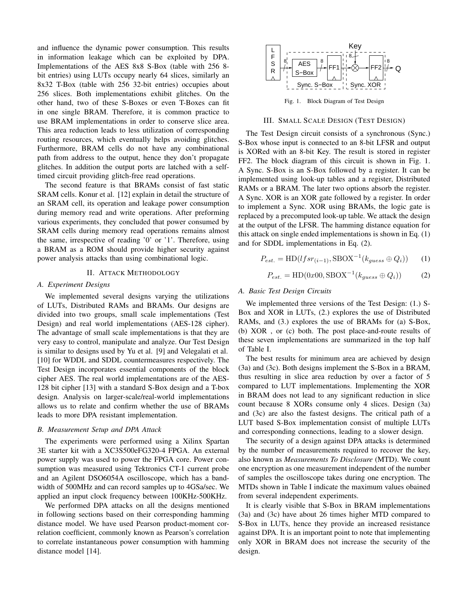and influence the dynamic power consumption. This results in information leakage which can be exploited by DPA. Implementations of the AES 8x8 S-Box (table with 256 8 bit entries) using LUTs occupy nearly 64 slices, similarly an 8x32 T-Box (table with 256 32-bit entries) occupies about 256 slices. Both implementations exhibit glitches. On the other hand, two of these S-Boxes or even T-Boxes can fit in one single BRAM. Therefore, it is common practice to use BRAM implementations in order to conserve slice area. This area reduction leads to less utilization of corresponding routing resources, which eventually helps avoiding glitches. Furthermore, BRAM cells do not have any combinational path from address to the output, hence they don't propagate glitches. In addition the output ports are latched with a selftimed circuit providing glitch-free read operations.

The second feature is that BRAMs consist of fast static SRAM cells. Konur et al. [12] explain in detail the structure of an SRAM cell, its operation and leakage power consumption during memory read and write operations. After preforming various experiments, they concluded that power consumed by SRAM cells during memory read operations remains almost the same, irrespective of reading '0' or '1'. Therefore, using a BRAM as a ROM should provide higher security against power analysis attacks than using combinational logic.

## II. ATTACK METHODOLOGY

## *A. Experiment Designs*

We implemented several designs varying the utilizations of LUTs, Distributed RAMs and BRAMs. Our designs are divided into two groups, small scale implementations (Test Design) and real world implementations (AES-128 cipher). The advantage of small scale implementations is that they are very easy to control, manipulate and analyze. Our Test Design is similar to designs used by Yu et al. [9] and Velegalati et al. [10] for WDDL and SDDL countermeasures respectively. The Test Design incorporates essential components of the block cipher AES. The real world implementations are of the AES-128 bit cipher [13] with a standard S-Box design and a T-box design. Analysis on larger-scale/real-world implementations allows us to relate and confirm whether the use of BRAMs leads to more DPA resistant implementation.

## *B. Measurement Setup and DPA Attack*

The experiments were performed using a Xilinx Spartan 3E starter kit with a XC3S500eFG320-4 FPGA. An external power supply was used to power the FPGA core. Power consumption was measured using Tektronics CT-1 current probe and an Agilent DSO6054A oscilloscope, which has a bandwidth of 500MHz and can record samples up to 4GSa/sec. We applied an input clock frequency between 100KHz-500KHz.

We performed DPA attacks on all the designs mentioned in following sections based on their corresponding hamming distance model. We have used Pearson product-moment correlation coefficient, commonly known as Pearson's correlation to correlate instantaneous power consumption with hamming distance model [14].



Fig. 1. Block Diagram of Test Design

## III. SMALL SCALE DESIGN (TEST DESIGN)

The Test Design circuit consists of a synchronous (Sync.) S-Box whose input is connected to an 8-bit LFSR and output is XORed with an 8-bit Key. The result is stored in register FF2. The block diagram of this circuit is shown in Fig. 1. A Sync. S-Box is an S-Box followed by a register. It can be implemented using look-up tables and a register, Distributed RAMs or a BRAM. The later two options absorb the register. A Sync. XOR is an XOR gate followed by a register. In order to implement a Sync. XOR using BRAMs, the logic gate is replaced by a precomputed look-up table. We attack the design at the output of the LFSR. The hamming distance equation for this attack on single ended implementations is shown in Eq. (1) and for SDDL implementations in Eq. (2).

$$
P_{est.} = \text{HD}(lfsr_{(i-1)}, \text{SBOX}^{-1}(k_{guess} \oplus Q_i)) \tag{1}
$$

$$
P_{est.} = \text{HD}(0x00, \text{SBOX}^{-1}(k_{guess} \oplus Q_i))
$$
 (2)

# *A. Basic Test Design Circuits*

We implemented three versions of the Test Design: (1.) S-Box and XOR in LUTs, (2.) explores the use of Distributed RAMs, and (3.) explores the use of BRAMs for (a) S-Box, (b) XOR , or (c) both. The post place-and-route results of these seven implementations are summarized in the top half of Table I.

The best results for minimum area are achieved by design (3a) and (3c). Both designs implement the S-Box in a BRAM, thus resulting in slice area reduction by over a factor of 5 compared to LUT implementations. Implementing the XOR in BRAM does not lead to any significant reduction in slice count because 8 XORs consume only 4 slices. Design (3a) and (3c) are also the fastest designs. The critical path of a LUT based S-Box implementation consist of multiple LUTs and corresponding connections, leading to a slower design.

The security of a design against DPA attacks is determined by the number of measurements required to recover the key, also known as *Measurements To Disclosure* (MTD). We count one encryption as one measurement independent of the number of samples the oscilloscope takes during one encryption. The MTDs shown in Table I indicate the maximum values obained from several independent experiments.

It is clearly visible that S-Box in BRAM implementations (3a) and (3c) have about 26 times higher MTD compared to S-Box in LUTs, hence they provide an increased resistance against DPA. It is an important point to note that implementing only XOR in BRAM does not increase the security of the design.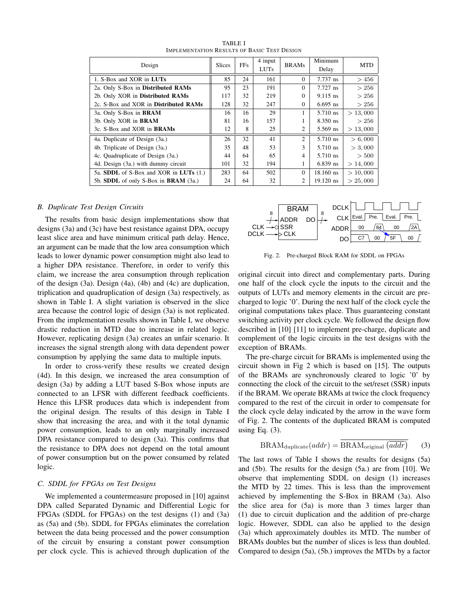| Design                                 | <b>Slices</b> | <b>FFs</b> | 4 input<br><b>LUTs</b> | <b>BRAMs</b>   | Minimum<br>Delay | <b>MTD</b> |
|----------------------------------------|---------------|------------|------------------------|----------------|------------------|------------|
| 1. S-Box and XOR in LUTs               | 85            | 24         | 161                    | $\Omega$       | 7.737 ns         | >456       |
| 2a. Only S-Box in Distributed RAMs     | 95            | 23         | 191                    | $\Omega$       | $7.727$ ns       | > 256      |
| 2b. Only XOR in Distributed RAMs       | 117           | 32         | 219                    | 0              | $9.115$ ns       | > 256      |
| 2c. S-Box and XOR in Distributed RAMs  | 128           | 32         | 247                    | 0              | $6.695$ ns       | > 256      |
| 3a. Only S-Box in BRAM                 | 16            | 16         | 29                     |                | 5.710 ns         | > 13,000   |
| 3b. Only XOR in <b>BRAM</b>            | 81            | 16         | 157                    |                | 8.350 ns         | > 256      |
| 3c. S-Box and XOR in <b>BRAMs</b>      | 12            | 8          | 25                     | 2              | 5.569 ns         | > 13,000   |
| 4a. Duplicate of Design (3a.)          | 26            | 32         | 41                     | $\overline{c}$ | 5.710 ns         | > 6,000    |
| 4b. Triplicate of Design (3a.)         | 35            | 48         | 53                     | 3              | 5.710 ns         | > 3,000    |
| 4c. Quadruplicate of Design (3a.)      | 44            | 64         | 65                     | 4              | 5.710 ns         | >500       |
| 4d. Design (3a.) with dummy circuit    | 101           | 32         | 194                    | 1              | $6.839$ ns       | > 14,000   |
| 5a. SDDL of S-Box and XOR in LUTs (1.) | 283           | 64         | 502                    | 0              | $18.160$ ns      | > 10,000   |
| 5b. SDDL of only S-Box in BRAM (3a.)   | 24            | 64         | 32                     | 2              | $19.120$ ns      | > 25,000   |

TABLE I IMPLEMENTATION RESULTS OF BASIC TEST DESIGN

## *B. Duplicate Test Design Circuits*

The results from basic design implementations show that designs (3a) and (3c) have best resistance against DPA, occupy least slice area and have minimum critical path delay. Hence, an argument can be made that the low area consumption which leads to lower dynamic power consumption might also lead to a higher DPA resistance. Therefore, in order to verify this claim, we increase the area consumption through replication of the design (3a). Design (4a), (4b) and (4c) are duplication, triplication and quadruplication of design (3a) respectively, as shown in Table I. A slight variation is observed in the slice area because the control logic of design (3a) is not replicated. From the implementation results shown in Table I, we observe drastic reduction in MTD due to increase in related logic. However, replicating design (3a) creates an unfair scenario. It increases the signal strength along with data dependent power consumption by applying the same data to multiple inputs.

In order to cross-verify these results we created design (4d). In this design, we increased the area consumption of design (3a) by adding a LUT based S-Box whose inputs are connected to an LFSR with different feedback coefficients. Hence this LFSR produces data which is independent from the original design. The results of this design in Table I show that increasing the area, and with it the total dynamic power consumption, leads to an only marginally increased DPA resistance compared to design (3a). This confirms that the resistance to DPA does not depend on the total amount of power consumption but on the power consumed by related logic.

## *C. SDDL for FPGAs on Test Designs*

We implemented a countermeasure proposed in [10] against DPA called Separated Dynamic and Differential Logic for FPGAs (SDDL for FPGAs) on the test designs (1) and (3a) as (5a) and (5b). SDDL for FPGAs eliminates the correlation between the data being processed and the power consumption of the circuit by ensuring a constant power consumption per clock cycle. This is achieved through duplication of the



Fig. 2. Pre-charged Block RAM for SDDL on FPGAs

original circuit into direct and complementary parts. During one half of the clock cycle the inputs to the circuit and the outputs of LUTs and memory elements in the circuit are precharged to logic '0'. During the next half of the clock cycle the original computations takes place. Thus guaranteeing constant switching activity per clock cycle. We followed the design flow described in [10] [11] to implement pre-charge, duplicate and complement of the logic circuits in the test designs with the exception of BRAMs.

The pre-charge circuit for BRAMs is implemented using the circuit shown in Fig 2 which is based on [15]. The outputs of the BRAMs are synchronously cleared to logic '0' by connecting the clock of the circuit to the set/reset (SSR) inputs if the BRAM. We operate BRAMs at twice the clock frequency compared to the rest of the circuit in order to compensate for the clock cycle delay indicated by the arrow in the wave form of Fig. 2. The contents of the duplicated BRAM is computed using Eq.  $(3)$ .

$$
BRAM_{\text{duplicate}}(addr) = \overline{\text{BRAM}_{\text{original}}\left(\overline{addr}\right)}\tag{3}
$$

The last rows of Table I shows the results for designs (5a) and (5b). The results for the design (5a.) are from [10]. We observe that implementing SDDL on design (1) increases the MTD by 22 times. This is less than the improvement achieved by implementing the S-Box in BRAM (3a). Also the slice area for (5a) is more than 3 times larger than (1) due to circuit duplication and the addition of pre-charge logic. However, SDDL can also be applied to the design (3a) which approximately doubles its MTD. The number of BRAMs doubles but the number of slices is less than doubled. Compared to design (5a), (5b.) improves the MTDs by a factor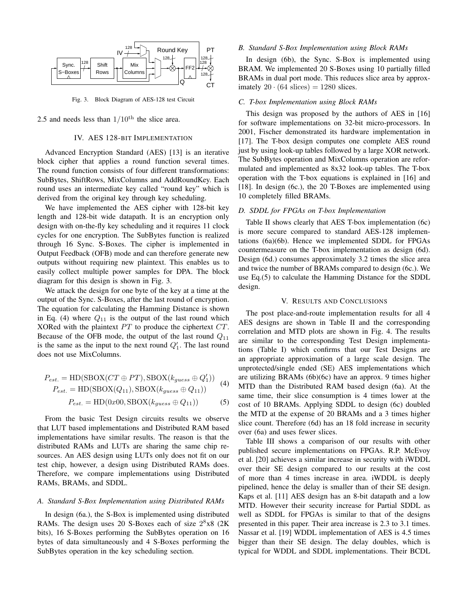

Fig. 3. Block Diagram of AES-128 test Circuit

# 2.5 and needs less than  $1/10^{th}$  the slice area.

## IV. AES 128-BIT IMPLEMENTATION

Advanced Encryption Standard (AES) [13] is an iterative block cipher that applies a round function several times. The round function consists of four different transformations: SubBytes, ShiftRows, MixColumns and AddRoundKey. Each round uses an intermediate key called "round key" which is derived from the original key through key scheduling.

We have implemented the AES cipher with 128-bit key length and 128-bit wide datapath. It is an encryption only design with on-the-fly key scheduling and it requires 11 clock cycles for one encryption. The SubBytes function is realized through 16 Sync. S-Boxes. The cipher is implemented in Output Feedback (OFB) mode and can therefore generate new outputs without requiring new plaintext. This enables us to easily collect multiple power samples for DPA. The block diagram for this design is shown in Fig. 3.

We attack the design for one byte of the key at a time at the output of the Sync. S-Boxes, after the last round of encryption. The equation for calculating the Hamming Distance is shown in Eq. (4) where  $Q_{11}$  is the output of the last round which XORed with the plaintext *P T* to produce the ciphertext *CT*. Because of the OFB mode, the output of the last round *Q*<sup>11</sup> is the same as the input to the next round  $Q_1'$ . The last round does not use MixColumns.

$$
P_{est.} = \text{HD}(\text{SBOX}(CT \oplus PT), \text{SBOX}(k_{guess} \oplus Q_1'))
$$
  

$$
P_{est.} = \text{HD}(\text{SBOX}(Q_{11}), \text{SBOX}(k_{guess} \oplus Q_{11}))
$$
 (4)

$$
P_{est.} = \text{HD}(0x00, \text{SDOX}(k_{guess} \oplus Q_{11})) \tag{5}
$$

From the basic Test Design circuits results we observe that LUT based implementations and Distributed RAM based implementations have similar results. The reason is that the distributed RAMs and LUTs are sharing the same chip resources. An AES design using LUTs only does not fit on our test chip, however, a design using Distributed RAMs does. Therefore, we compare implementations using Distributed RAMs, BRAMs, and SDDL.

## *A. Standard S-Box Implementation using Distributed RAMs*

In design (6a.), the S-Box is implemented using distributed RAMs. The design uses 20 S-Boxes each of size  $2^8 \times 8$  (2K bits), 16 S-Boxes performing the SubBytes operation on 16 bytes of data simultaneously and 4 S-Boxes performing the SubBytes operation in the key scheduling section.

### *B. Standard S-Box Implementation using Block RAMs*

In design (6b), the Sync. S-Box is implemented using BRAM. We implemented 20 S-Boxes using 10 partially filled BRAMs in dual port mode. This reduces slice area by approximately  $20 \cdot (64 \text{ slices}) = 1280 \text{ slices}.$ 

## *C. T-box Implementation using Block RAMs*

This design was proposed by the authors of AES in [16] for software implementations on 32-bit micro-processors. In 2001, Fischer demonstrated its hardware implementation in [17]. The T-box design computes one complete AES round just by using look-up tables followed by a large XOR network. The SubBytes operation and MixColumns operation are reformulated and implemented as 8x32 look-up tables. The T-box operation with the T-box equations is explained in [16] and [18]. In design (6c.), the 20 T-Boxes are implemented using 10 completely filled BRAMs.

# *D. SDDL for FPGAs on T-box Implementation*

Table II shows clearly that AES T-box implementation (6c) is more secure compared to standard AES-128 implementations (6a)(6b). Hence we implemented SDDL for FPGAs countermeasure on the T-box implementation as design (6d). Design (6d.) consumes approximately 3.2 times the slice area and twice the number of BRAMs compared to design (6c.). We use Eq.(5) to calculate the Hamming Distance for the SDDL design.

## V. RESULTS AND CONCLUSIONS

The post place-and-route implementation results for all 4 AES designs are shown in Table II and the corresponding correlation and MTD plots are shown in Fig. 4. The results are similar to the corresponding Test Design implementations (Table I) which confirms that our Test Designs are an appropriate approximation of a large scale design. The unprotected/single ended (SE) AES implementations which are utilizing BRAMs (6b)(6c) have an approx. 9 times higher MTD than the Distributed RAM based design (6a). At the same time, their slice consumption is 4 times lower at the cost of 10 BRAMs. Applying SDDL to design (6c) doubled the MTD at the expense of 20 BRAMs and a 3 times higher slice count. Therefore (6d) has an 18 fold increase in security over (6a) and uses fewer slices.

Table III shows a comparison of our results with other published secure implementations on FPGAs. R.P. McEvoy et al. [20] achieves a similar increase in security with iWDDL over their SE design compared to our results at the cost of more than 4 times increase in area. iWDDL is deeply pipelined, hence the delay is smaller than of their SE design. Kaps et al. [11] AES design has an 8-bit datapath and a low MTD. However their security increase for Partial SDDL as well as SDDL for FPGAs is similar to that of the designs presented in this paper. Their area increase is 2.3 to 3.1 times. Nassar et al. [19] WDDL implementation of AES is 4.5 times bigger than their SE design. The delay doubles, which is typical for WDDL and SDDL implementations. Their BCDL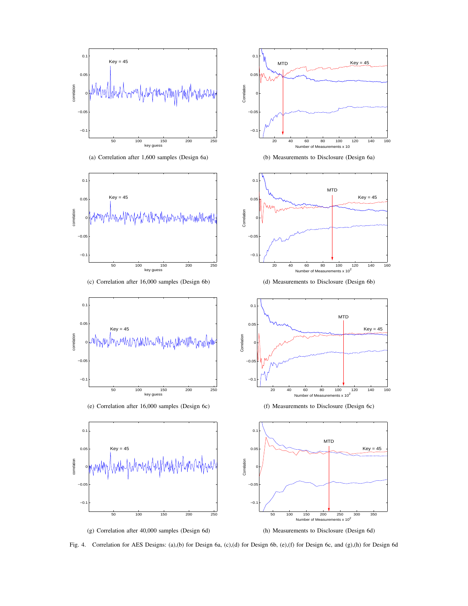





(c) Correlation after 16,000 samples (Design 6b)



(e) Correlation after 16,000 samples (Design 6c)







(b) Measurements to Disclosure (Design 6a)



(d) Measurements to Disclosure (Design 6b)



(f) Measurements to Disclosure (Design 6c)





Fig. 4. Correlation for AES Designs: (a),(b) for Design 6a, (c),(d) for Design 6b, (e),(f) for Design 6c, and (g),(h) for Design 6d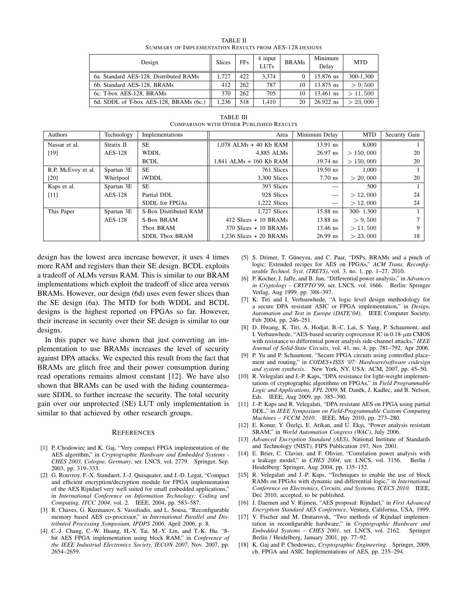| TABLE II                                                      |  |  |  |  |  |  |  |
|---------------------------------------------------------------|--|--|--|--|--|--|--|
| <b>SUMMARY OF IMPLEMENTATION RESULTS FROM AES-128 DESIGNS</b> |  |  |  |  |  |  |  |

| Design                                 | <b>Slices</b> | <b>FFs</b> | 4 input<br><b>LUTs</b> | <b>BRAMs</b> | Minimum<br>Delay | <b>MTD</b> |
|----------------------------------------|---------------|------------|------------------------|--------------|------------------|------------|
| 6a. Standard AES-128. Distributed RAMs | 1.727         | 422        | 3.374                  |              | 15.876 ns        | 300-1.300  |
| 6b. Standard AES-128, BRAMs            | 412           | 262        | 787                    | 10           | 13.875 ns        | > 9.500    |
| 6c. T-box AES-128, BRAMs               | 370           | 262        | 705                    | 10           | $13.461$ ns      | > 11,500   |
| 6d. SDDL of T-box AES-128, BRAMs (6c.) | 1.236         | 518        | 1.410                  | 20           | $26.922$ ns      | > 23,000   |

TABLE III COMPARISON WITH OTHER PUBLISHED RESULTS

| Authors            | Technology | Implementations       | Area                       | Minimum Delay                    | <b>MTD</b>    | Security Gain |
|--------------------|------------|-----------------------|----------------------------|----------------------------------|---------------|---------------|
| Nassar et al.      | Stratix II | SE                    | $1,078$ ALMs + 40 Kb RAM   | $13.91$ ns                       | 8,000         |               |
| $[19]$             | AES-128    | <b>WDDL</b>           | 4,885 ALMs                 | $26.97$ ns                       | > 150,000     | 20            |
|                    |            | <b>BCDL</b>           | 1,841 ALMs + 160 Kb RAM    | $19.74$ ns                       | > 150,000     | 20            |
| R.P. McEvoy et al. | Spartan 3E | <b>SE</b>             | 761 Slices                 | $19.50$ ns                       | 1.000         |               |
| [20]               | Whirlpool  | iWDDL                 | 3.300 Slices               | $7.70$ ns                        | > 20,000      | 20            |
| Kaps et al.        | Spartan 3E | <b>SE</b>             | 393 Slices                 |                                  | 500           |               |
| [11]               | AES-128    | Partial DDL           | 928 Slices                 | $\overbrace{\phantom{aaaaa}}^{}$ | > 12,000      | 24            |
|                    |            | SDDL for FPGAs        | 1.222 Slices               |                                  | > 12,000      | 24            |
| This Paper         | Spartan 3E | S-Box Distributed RAM | 1.727 Slices               | $15.88$ ns                       | $300 - 1,300$ |               |
|                    | AES-128    | <b>S-Box BRAM</b>     | $412$ Slices + 10 BRAMs    | $13.88$ ns                       | > 9,500       |               |
|                    |            | Tbox BRAM             | $370$ Slices + 10 BRAMs    | $13.46$ ns                       | > 11,500      | 9             |
|                    |            | <b>SDDL Tbox BRAM</b> | $1.236$ Slices $+20$ BRAMs | $26.99$ ns                       | > 23,000      | 18            |

design has the lowest area increase however, it uses 4 times more RAM and registers than their SE design. BCDL exploits a tradeoff of ALMs versus RAM. This is similar to our BRAM implementations which exploit the tradeoff of slice area versus BRAMs. However, our design (6d) uses even fewer slices than the SE design (6a). The MTD for both WDDL and BCDL designs is the highest reported on FPGAs so far. However, their increase in security over their SE design is similar to our designs.

In this paper we have shown that just converting an implementation to use BRAMs increases the level of security against DPA attacks. We expected this result from the fact that BRAMs are glitch free and their power consumption during read operations remains almost constant [12]. We have also shown that BRAMs can be used with the hiding countermeasure SDDL to further increase the security. The total security gain over our unprotected (SE) LUT only implementation is similar to that achieved by other research groups.

## **REFERENCES**

- [1] P. Chodowiec and K. Gaj, "Very compact FPGA implementation of the AES algorithm," in *Cryptographic Hardware and Embedded Systems - CHES 2003, Cologne, Germany*, ser. LNCS, vol. 2779. Springer, Sep. 2003, pp. 319–333.
- [2] G. Rouvroy, F.-X. Standaert, J.-J. Quisquater, and J.-D. Legat, "Compact and efficient encryption/decryption module for FPGA implementation of the AES Rijndael very well suited for small embedded applications," in *International Conference on Information Technology: Coding and Computing, ITCC 2004*, vol. 2. IEEE, 2004, pp. 583–587.
- [3] R. Chaves, G. Kuzmanov, S. Vassiliadis, and L. Sousa, "Reconfigurable memory based AES co-processor," in *International Parallel and Distributed Processing Symposium, IPDPS 2006*, April 2006, p. 8.
- [4] C.-J. Chang, C.-W. Huang, H.-Y. Tai, M.-Y. Lin, and T.-K. Hu, "8 bit AES FPGA implementation using block RAM," in *Conference of the IEEE Industrial Electronics Society, IECON 2007*, Nov. 2007, pp. 2654–2659.
- [5] S. Drimer, T. Güneysu, and C. Paar, "DSPs, BRAMs and a pinch of logic: Extended recipes for AES on FPGAs," *ACM Trans. Reconfigurable Technol. Syst. (TRETS)*, vol. 3, no. 1, pp. 1–27, 2010.
- [6] P. Kocher, J. Jaffe, and B. Jun, "Differential power analysis," in *Advances in Cryptology - CRYPTO'99*, ser. LNCS, vol. 1666. Berlin: Springer Verlag, Aug 1999, pp. 388–397.
- [7] K. Tiri and I. Verbauwhede, "A logic level design methodology for a secure DPA resistant ASIC or FPGA implementation," in *Design, Automation and Test in Europe (DATE'04)*. IEEE Computer Society, Feb 2004, pp. 246–251.
- [8] D. Hwang, K. Tiri, A. Hodjat, B.-C. Lai, S. Yang, P. Schaumont, and I. Verbauwhede, "AES-based security coprocessor IC in 0.18-*µ*m CMOS with resistance to differential power analysis side-channel attacks," *IEEE Journal of Solid-State Circuits*, vol. 41, no. 4, pp. 781–792, Apr 2006.
- [9] P. Yu and P. Schaumont, "Secure FPGA circuits using controlled placement and routing," in *CODES+ISSS '07: Hardware/software codesign and system synthesis*. New York, NY, USA: ACM, 2007, pp. 45–50.
- [10] R. Velegalati and J.-P. Kaps, "DPA resistance for light-weight implementations of cryptographic algorithms on FPGAs," in *Field Programmable Logic and Applications, FPL 2009, M. Danek, J. Kadlec, and B. Nelson,* Eds. IEEE, Aug 2009, pp. 385–390.
- [11] J.-P. Kaps and R. Velegalati, "DPA resistant AES on FPGA using partial DDL," in *IEEE Symposium on Field-Programmable Custom Computing Machines – FCCM 2010*. IEEE, May 2010, pp. 273–280.
- [12] E. Konur, Y. Özelçi, E. Arikan, and U. Ekşi, "Power analysis resistant SRAM," in *World Automation Congress (WAC)*, July 2006.
- [13] *Advanced Encryption Standard (AES)*, National Institute of Standards and Technology (NIST), FIPS Publication 197, Nov 2001.
- [14] E. Brier, C. Clavier, and F. Olivier, "Correlation power analysis with a leakage model," in *CHES 2004*, ser. LNCS, vol. 3156. Berlin / Heidelberg: Springer, Aug 2004, pp. 135–152.
- [15] R. Velegalati and J.-P. Kaps, "Techniques to enable the use of block RAMs on FPGAs with dynamic and differential logic," in *International Conference on Electronics, Circuits, and Systems, ICECS 2010*. IEEE, Dec 2010, accepted, to be published.
- [16] J. Daemen and V. Rijmen, "AES proposal: Rijndael," in *First Advanced Encryption Standard AES Conference*, Ventura, California, USA, 1999.
- [17] V. Fischer and M. Drutarovsk, "Two methods of Rijndael implementation in reconfigurable hardware," in *Cryptographic Hardware and Embedded Systems – CHES 2001*, ser. LNCS, vol. 2162. Springer Berlin / Heidelberg, January 2001, pp. 77–92.
- [18] K. Gaj and P. Chodowiec, *Cryptographic Engineering*. Springer, 2009, ch. FPGA and ASIC Implementations of AES, pp. 235–294.